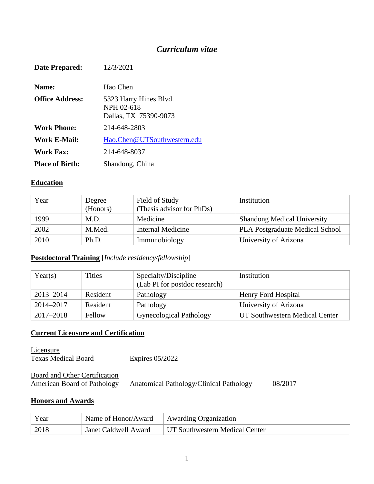# *Curriculum vitae*

| <b>Date Prepared:</b>  | 12/3/2021                                                     |
|------------------------|---------------------------------------------------------------|
| Name:                  | Hao Chen                                                      |
| <b>Office Address:</b> | 5323 Harry Hines Blvd.<br>NPH 02-618<br>Dallas, TX 75390-9073 |
| <b>Work Phone:</b>     | 214-648-2803                                                  |
| Work E-Mail:           | Hao.Chen@UTSouthwestern.edu                                   |
| Work Fax:              | 214-648-8037                                                  |
| <b>Place of Birth:</b> | Shandong, China                                               |

#### **Education**

| Year | Degree   | Field of Study            | Institution                            |
|------|----------|---------------------------|----------------------------------------|
|      | (Honors) | (Thesis advisor for PhDs) |                                        |
| 1999 | M.D.     | Medicine                  | <b>Shandong Medical University</b>     |
| 2002 | M.Med.   | <b>Internal Medicine</b>  | <b>PLA Postgraduate Medical School</b> |
| 2010 | Ph.D.    | Immunobiology             | University of Arizona                  |

#### **Postdoctoral Training** [*Include residency/fellowship*]

| Year(s)   | Titles   | Specialty/Discipline<br>(Lab PI for postdoc research) | Institution                    |
|-----------|----------|-------------------------------------------------------|--------------------------------|
| 2013-2014 | Resident | Pathology                                             | Henry Ford Hospital            |
| 2014–2017 | Resident | Pathology                                             | University of Arizona          |
| 2017-2018 | Fellow   | Gynecological Pathology                               | UT Southwestern Medical Center |

#### **Current Licensure and Certification**

**Licensure** Texas Medical Board Expires 05/2022

#### **Board and Other Certification**<br>American Board of Pathology Anatomical Pathology/Clinical Pathology 08/2017

#### **Honors and Awards**

| Year | Name of Honor/Award         | Awarding Organization          |
|------|-----------------------------|--------------------------------|
| 2018 | <b>Janet Caldwell Award</b> | UT Southwestern Medical Center |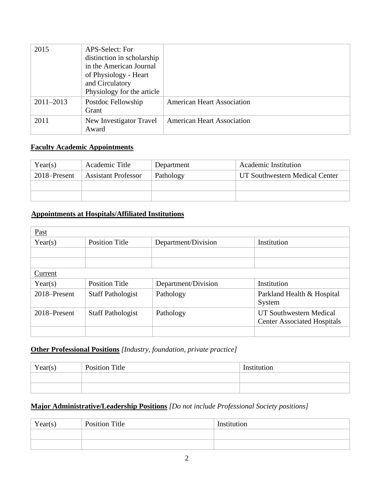| 2015          | APS-Select: For<br>distinction in scholarship<br>in the American Journal<br>of Physiology - Heart<br>and Circulatory<br>Physiology for the article |                                   |
|---------------|----------------------------------------------------------------------------------------------------------------------------------------------------|-----------------------------------|
| $2011 - 2013$ | Postdoc Fellowship<br>Grant                                                                                                                        | <b>American Heart Association</b> |
| 2011          | New Investigator Travel<br>Award                                                                                                                   | <b>American Heart Association</b> |

# **Faculty Academic Appointments**

| Year(s)      | Academic Title             | Department | Academic Institution           |
|--------------|----------------------------|------------|--------------------------------|
| 2018–Present | <b>Assistant Professor</b> | Pathology  | UT Southwestern Medical Center |
|              |                            |            |                                |
|              |                            |            |                                |

# **Appointments at Hospitals/Affiliated Institutions**

| Past         |                          |                     |                                                                      |
|--------------|--------------------------|---------------------|----------------------------------------------------------------------|
| Year(s)      | <b>Position Title</b>    | Department/Division | Institution                                                          |
|              |                          |                     |                                                                      |
|              |                          |                     |                                                                      |
| Current      |                          |                     |                                                                      |
| Year(s)      | <b>Position Title</b>    | Department/Division | Institution                                                          |
| 2018–Present | <b>Staff Pathologist</b> | Pathology           | Parkland Health & Hospital<br>System                                 |
| 2018–Present | <b>Staff Pathologist</b> | Pathology           | <b>UT Southwestern Medical</b><br><b>Center Associated Hospitals</b> |
|              |                          |                     |                                                                      |

#### **Other Professional Positions** *[Industry, foundation, private practice]*

| Year(s) | <b>Position Title</b> | Institution |
|---------|-----------------------|-------------|
|         |                       |             |
|         |                       |             |

# **Major Administrative/Leadership Positions** *[Do not include Professional Society positions]*

| Year(s) | <b>Position Title</b> | Institution |  |
|---------|-----------------------|-------------|--|
|         |                       |             |  |
|         |                       |             |  |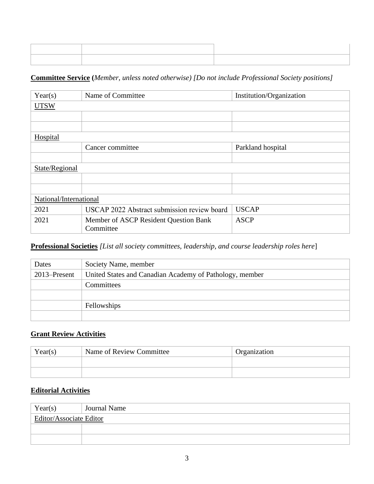#### **Committee Service (***Member, unless noted otherwise) [Do not include Professional Society positions]*

| Year(s)                | Name of Committee                                  | Institution/Organization |
|------------------------|----------------------------------------------------|--------------------------|
| <b>UTSW</b>            |                                                    |                          |
|                        |                                                    |                          |
|                        |                                                    |                          |
| Hospital               |                                                    |                          |
|                        | Cancer committee                                   | Parkland hospital        |
|                        |                                                    |                          |
| State/Regional         |                                                    |                          |
|                        |                                                    |                          |
|                        |                                                    |                          |
| National/International |                                                    |                          |
| 2021                   | USCAP 2022 Abstract submission review board        | <b>USCAP</b>             |
| 2021                   | Member of ASCP Resident Question Bank<br>Committee | <b>ASCP</b>              |

# **Professional Societies** *[List all society committees, leadership, and course leadership roles here*]

| Dates           | Society Name, member                                    |  |
|-----------------|---------------------------------------------------------|--|
| $2013$ -Present | United States and Canadian Academy of Pathology, member |  |
|                 | Committees                                              |  |
|                 |                                                         |  |
|                 | Fellowships                                             |  |
|                 |                                                         |  |

## **Grant Review Activities**

| Year(s) | Name of Review Committee | <b>Organization</b> |
|---------|--------------------------|---------------------|
|         |                          |                     |
|         |                          |                     |

#### **Editorial Activities**

| Year(s)                        | <b>Journal Name</b> |  |
|--------------------------------|---------------------|--|
| <b>Editor/Associate Editor</b> |                     |  |
|                                |                     |  |
|                                |                     |  |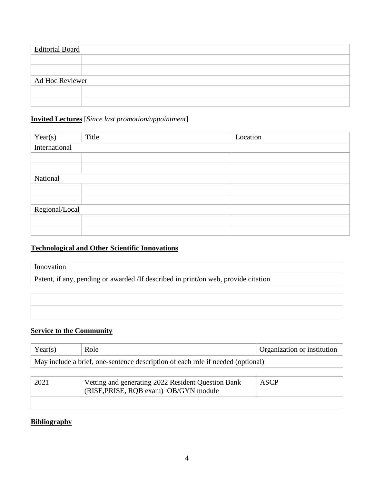| <b>Editorial Board</b> |  |  |
|------------------------|--|--|
|                        |  |  |
|                        |  |  |
| Ad Hoc Reviewer        |  |  |
|                        |  |  |
|                        |  |  |

# **Invited Lectures** [*Since last promotion/appointment*]

| Year(s)        | Title | Location |
|----------------|-------|----------|
| International  |       |          |
|                |       |          |
|                |       |          |
| National       |       |          |
|                |       |          |
|                |       |          |
| Regional/Local |       |          |
|                |       |          |
|                |       |          |

# **Technological and Other Scientific Innovations**

#### Innovation

Patent, if any, pending or awarded /If described in print/on web, provide citation

# **Service to the Community**

| Year(s)                                                                         | Role                                                                                        | Organization or institution |
|---------------------------------------------------------------------------------|---------------------------------------------------------------------------------------------|-----------------------------|
| May include a brief, one-sentence description of each role if needed (optional) |                                                                                             |                             |
|                                                                                 |                                                                                             |                             |
| 2021                                                                            | Vetting and generating 2022 Resident Question Bank<br>(RISE, PRISE, RQB exam) OB/GYN module | ASCP                        |

# **Bibliography**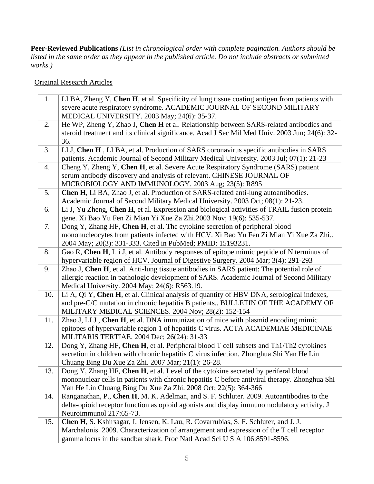**Peer-Reviewed Publications** *(List in chronological order with complete pagination. Authors should be listed in the same order as they appear in the published article. Do not include abstracts or submitted works.)*

Original Research Articles

| severe acute respiratory syndrome. ACADEMIC JOURNAL OF SECOND MILITARY<br>MEDICAL UNIVERSITY. 2003 May; 24(6): 35-37.                         |  |
|-----------------------------------------------------------------------------------------------------------------------------------------------|--|
| He WP, Zheng Y, Zhao J, Chen H et al. Relationship between SARS-related antibodies and<br>2.                                                  |  |
| steroid treatment and its clinical significance. Acad J Sec Mil Med Univ. 2003 Jun; 24(6): 32-                                                |  |
| 36.                                                                                                                                           |  |
| 3.<br>LIJ, Chen H, LIBA, et al. Production of SARS coronavirus specific antibodies in SARS                                                    |  |
| patients. Academic Journal of Second Military Medical University. 2003 Jul; 07(1): 21-23                                                      |  |
| Cheng Y, Zheng Y, Chen H, et al. Severe Acute Respiratory Syndrome (SARS) patient<br>4.                                                       |  |
| serum antibody discovery and analysis of relevant. CHINESE JOURNAL OF                                                                         |  |
| MICROBIOLOGY AND IMMUNOLOGY. 2003 Aug; 23(5): R895                                                                                            |  |
| Chen H, Li BA, Zhao J, et al. Production of SARS-related anti-lung autoantibodies.<br>5.                                                      |  |
| Academic Journal of Second Military Medical University. 2003 Oct; 08(1): 21-23.                                                               |  |
| Li J, Yu Zheng, Chen H, et al. Expression and biological activities of TRAIL fusion protein<br>6.                                             |  |
| gene. Xi Bao Yu Fen Zi Mian Yi Xue Za Zhi.2003 Nov; 19(6): 535-537.                                                                           |  |
| 7.<br>Dong Y, Zhang HF, Chen H, et al. The cytokine secretion of peripheral blood                                                             |  |
| mononucleocytes from patients infected with HCV. Xi Bao Yu Fen Zi Mian Yi Xue Za Zhi                                                          |  |
| 2004 May; 20(3): 331-333. Cited in PubMed; PMID: 15193231.                                                                                    |  |
| 8.<br>Gao R, Chen H, L i J, et al. Antibody responses of epitope mimic peptide of N terminus of                                               |  |
| hypervariable region of HCV. Journal of Digestive Surgery. 2004 Mar; 3(4): 291-293                                                            |  |
| Zhao J, Chen H, et al. Anti-lung tissue antibodies in SARS patient: The potential role of<br>9.                                               |  |
| allergic reaction in pathologic development of SARS. Academic Journal of Second Military                                                      |  |
| Medical University. 2004 May; 24(6): R563.19.                                                                                                 |  |
| Li A, Qi Y, Chen H, et al. Clinical analysis of quantity of HBV DNA, serological indexes,<br>10.                                              |  |
| and pre-C/C mutation in chronic hepatitis B patients BULLETIN OF THE ACADEMY OF                                                               |  |
| MILITARY MEDICAL SCIENCES. 2004 Nov; 28(2): 152-154                                                                                           |  |
| Zhao J, LI J, Chen H, et al. DNA immunization of mice with plasmid encoding mimic<br>11.                                                      |  |
| epitopes of hypervariable region 1 of hepatitis C virus. ACTA ACADEMIAE MEDICINAE                                                             |  |
| MILITARIS TERTIAE. 2004 Dec; 26(24): 31-33                                                                                                    |  |
| Dong Y, Zhang HF, Chen H, et al. Peripheral blood T cell subsets and Th1/Th2 cytokines<br>12.                                                 |  |
| secretion in children with chronic hepatitis C virus infection. Zhonghua Shi Yan He Lin<br>Chuang Bing Du Xue Za Zhi. 2007 Mar; 21(1): 26-28. |  |
| 13.<br>Dong Y, Zhang HF, Chen H, et al. Level of the cytokine secreted by periferal blood                                                     |  |
| mononuclear cells in patients with chronic hepatitis C before antiviral therapy. Zhonghua Shi                                                 |  |
| Yan He Lin Chuang Bing Du Xue Za Zhi. 2008 Oct; 22(5): 364-366                                                                                |  |
| Ranganathan, P., Chen H, M. K. Adelman, and S. F. Schluter. 2009. Autoantibodies to the<br>14.                                                |  |
| delta-opioid receptor function as opioid agonists and display immunomodulatory activity. J                                                    |  |
| Neuroimmunol 217:65-73.                                                                                                                       |  |
| Chen H, S. Kshirsagar, I. Jensen, K. Lau, R. Covarrubias, S. F. Schluter, and J. J.<br>15.                                                    |  |
| Marchalonis. 2009. Characterization of arrangement and expression of the T cell receptor                                                      |  |
| gamma locus in the sandbar shark. Proc Natl Acad Sci U S A 106:8591-8596.                                                                     |  |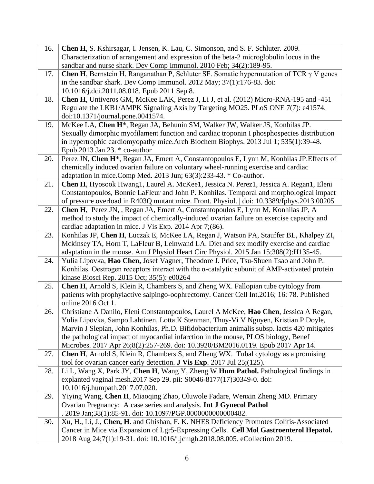| 16. | <b>Chen H</b> , S. Kshirsagar, I. Jensen, K. Lau, C. Simonson, and S. F. Schluter. 2009.                                                   |
|-----|--------------------------------------------------------------------------------------------------------------------------------------------|
|     | Characterization of arrangement and expression of the beta-2 microglobulin locus in the                                                    |
|     | sandbar and nurse shark. Dev Comp Immunol. 2010 Feb; 34(2):189-95.                                                                         |
| 17. | <b>Chen H</b> , Bernstein H, Ranganathan P, Schluter SF. Somatic hypermutation of TCR $\gamma$ V genes                                     |
|     | in the sandbar shark. Dev Comp Immunol. 2012 May; 37(1):176-83. doi:                                                                       |
|     | 10.1016/j.dci.2011.08.018. Epub 2011 Sep 8.                                                                                                |
| 18. | Chen H, Untiveros GM, McKee LAK, Perez J, Li J, et al. (2012) Micro-RNA-195 and -451                                                       |
|     | Regulate the LKB1/AMPK Signaling Axis by Targeting MO25. PLoS ONE 7(7): e41574.                                                            |
|     | doi:10.1371/journal.pone.0041574.                                                                                                          |
| 19. | McKee LA, Chen H <sup>*</sup> , Regan JA, Behunin SM, Walker JW, Walker JS, Konhilas JP.                                                   |
|     | Sexually dimorphic myofilament function and cardiac troponin I phosphospecies distribution                                                 |
|     | in hypertrophic cardiomyopathy mice. Arch Biochem Biophys. 2013 Jul 1; 535(1):39-48.                                                       |
|     | Epub 2013 Jan 23. $*$ co-author                                                                                                            |
| 20. | Perez JN, Chen H <sup>*</sup> , Regan JA, Emert A, Constantopoulos E, Lynn M, Konhilas JP. Effects of                                      |
|     | chemically induced ovarian failure on voluntary wheel-running exercise and cardiac                                                         |
|     | adaptation in mice.Comp Med. 2013 Jun; 63(3):233-43. * Co-author.                                                                          |
| 21. | Chen H, Hyosook Hwang1, Laurel A. McKee1, Jessica N. Perez1, Jessica A. Regan1, Eleni                                                      |
|     | Constantopoulos, Bonnie LaFleur and John P. Konhilas. Temporal and morphological impact                                                    |
|     | of pressure overload in R403Q mutant mice. Front. Physiol.   doi: 10.3389/fphys.2013.00205                                                 |
| 22. | Chen H, Perez JN, , Regan JA, Emert A, Constantopoulos E, Lynn M, Konhilas JP, A                                                           |
|     | method to study the impact of chemically-induced ovarian failure on exercise capacity and                                                  |
|     | cardiac adaptation in mice. J Vis Exp. 2014 Apr 7;(86).                                                                                    |
| 23. | Konhilas JP, Chen H, Luczak E, McKee LA, Regan J, Watson PA, Stauffer BL, Khalpey ZI,                                                      |
|     | Mckinsey TA, Horn T, LaFleur B, Leinwand LA. Diet and sex modify exercise and cardiac                                                      |
|     | adaptation in the mouse. Am J Physiol Heart Circ Physiol. 2015 Jan 15;308(2):H135-45.                                                      |
| 24. | Yulia Lipovka, Hao Chen, Josef Vagner, Theodore J. Price, Tsu-Shuen Tsao and John P.                                                       |
|     | Konhilas. Oestrogen receptors interact with the α-catalytic subunit of AMP-activated protein<br>kinase Biosci Rep. 2015 Oct; 35(5): e00264 |
| 25. | Chen H, Arnold S, Klein R, Chambers S, and Zheng WX. Fallopian tube cytology from                                                          |
|     | patients with prophylactive salpingo-oophrectomy. Cancer Cell Int.2016; 16: 78. Published                                                  |
|     | online 2016 Oct 1.                                                                                                                         |
| 26. | Christiane A Danilo, Eleni Constantopoulos, Laurel A McKee, Hao Chen, Jessica A Regan,                                                     |
|     | Yulia Lipovka, Sampo Lahtinen, Lotta K Stenman, Thuy-Vi V Nguyen, Kristian P Doyle,                                                        |
|     | Marvin J Slepian, John Konhilas, Ph.D. Bifidobacterium animalis subsp. lactis 420 mitigates                                                |
|     | the pathological impact of myocardial infarction in the mouse, PLOS biology, Benef                                                         |
|     | Microbes. 2017 Apr 26;8(2):257-269. doi: 10.3920/BM2016.0119. Epub 2017 Apr 14.                                                            |
| 27. | Chen H, Arnold S, Klein R, Chambers S, and Zheng WX. Tubal cytology as a promising                                                         |
|     | tool for ovarian cancer early detection. J Vis Exp. 2017 Jul 25;(125).                                                                     |
| 28. | Li L, Wang X, Park JY, Chen H, Wang Y, Zheng W Hum Pathol. Pathological findings in                                                        |
|     | explanted vaginal mesh.2017 Sep 29. pii: S0046-8177(17)30349-0. doi:                                                                       |
|     | 10.1016/j.humpath.2017.07.020.                                                                                                             |
| 29. | Yiying Wang, Chen H, Miaoqing Zhao, Oluwole Fadare, Wenxin Zheng MD. Primary                                                               |
|     | Ovarian Pregnancy: A case series and analysis. Int J Gynecol Pathol                                                                        |
|     | . 2019 Jan;38(1):85-91. doi: 10.1097/PGP.0000000000000482.                                                                                 |
| 30. | Xu, H., Li, J., Chen, H. and Ghishan, F. K. NHE8 Deficiency Promotes Colitis-Associated                                                    |
|     | Cancer in Mice via Expansion of Lgr5-Expressing Cells. Cell Mol Gastroenterol Hepatol.                                                     |
|     | 2018 Aug 24;7(1):19-31. doi: 10.1016/j.jcmgh.2018.08.005. eCollection 2019.                                                                |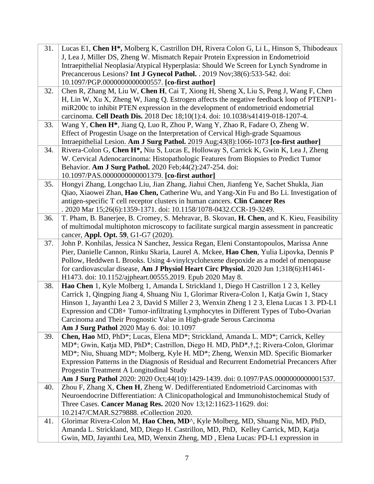| 31. | Lucas E1, Chen H <sup>*</sup> , Molberg K, Castrillon DH, Rivera Colon G, Li L, Hinson S, Thibodeaux                                    |
|-----|-----------------------------------------------------------------------------------------------------------------------------------------|
|     | J, Lea J, Miller DS, Zheng W. Mismatch Repair Protein Expression in Endometrioid                                                        |
|     | Intraepithelial Neoplasia/Atypical Hyperplasia: Should We Screen for Lynch Syndrome in                                                  |
|     | Precancerous Lesions? Int J Gynecol Pathol. . 2019 Nov;38(6):533-542. doi:                                                              |
|     | 10.1097/PGP.0000000000000557. [co-first author]                                                                                         |
| 32. | Chen R, Zhang M, Liu W, Chen H, Cai T, Xiong H, Sheng X, Liu S, Peng J, Wang F, Chen                                                    |
|     | H, Lin W, Xu X, Zheng W, Jiang Q. Estrogen affects the negative feedback loop of PTENP1-                                                |
|     | miR200c to inhibit PTEN expression in the development of endometrioid endometrial                                                       |
|     | carcinoma. Cell Death Dis. 2018 Dec 18;10(1):4. doi: 10.1038/s41419-018-1207-4.                                                         |
| 33. | Wang Y, Chen H <sup>*</sup> , Jiang Q, Luo R, Zhou P, Wang Y, Zhao R, Fadare O, Zheng W.                                                |
|     | Effect of Progestin Usage on the Interpretation of Cervical High-grade Squamous                                                         |
|     | Intraepithelial Lesion. Am J Surg Pathol. 2019 Aug;43(8):1066-1073 [co-first author]                                                    |
| 34. | Rivera-Colon G, Chen H <sup>*</sup> , Niu S, Lucas E, Holloway S, Carrick K, Gwin K, Lea J, Zheng                                       |
|     | W. Cervical Adenocarcinoma: Histopathologic Features from Biopsies to Predict Tumor                                                     |
|     | Behavior. Am J Surg Pathol. 2020 Feb;44(2):247-254. doi:                                                                                |
|     | 10.1097/PAS.0000000000001379. [co-first author]                                                                                         |
| 35. | Hongyi Zhang, Longchao Liu, Jian Zhang, Jiahui Chen, Jianfeng Ye, Sachet Shukla, Jian                                                   |
|     | Qiao, Xiaowei Zhan, Hao Chen, Catherine Wu, and Yang-Xin Fu and Bo Li. Investigation of                                                 |
|     | antigen-specific T cell receptor clusters in human cancers. Clin Cancer Res                                                             |
|     | . 2020 Mar 15;26(6):1359-1371. doi: 10.1158/1078-0432.CCR-19-3249.                                                                      |
| 36. | T. Pham, B. Banerjee, B. Cromey, S. Mehravar, B. Skovan, H. Chen, and K. Kieu, Feasibility                                              |
|     | of multimodal multiphoton microscopy to facilitate surgical margin assessment in pancreatic                                             |
|     | cancer, Appl. Opt. 59, G1-G7 (2020).                                                                                                    |
| 37. | John P. Konhilas, Jessica N Sanchez, Jessica Regan, Eleni Constantopoulos, Marissa Anne                                                 |
|     | Pier, Danielle Cannon, Rinku Skaria, Laurel A. Mckee, Hao Chen, Yulia Lipovka, Dennis P                                                 |
|     | Pollow, Heddwen L Brooks. Using 4-vinylcyclohexene diepoxide as a model of menopause                                                    |
|     | for cardiovascular disease, Am J Physiol Heart Circ Physiol. 2020 Jun 1;318(6):H1461-                                                   |
|     | H1473. doi: 10.1152/ajpheart.00555.2019. Epub 2020 May 8.                                                                               |
| 38. | Hao Chen 1, Kyle Molberg 1, Amanda L Strickland 1, Diego H Castrillon 1 2 3, Kelley                                                     |
|     | Carrick 1, Qingping Jiang 4, Shuang Niu 1, Glorimar Rivera-Colon 1, Katja Gwin 1, Stacy                                                 |
|     | Hinson 1, Jayanthi Lea 2 3, David S Miller 2 3, Wenxin Zheng 1 2 3, Elena Lucas 1 3. PD-L1                                              |
|     | Expression and CD8+ Tumor-infiltrating Lymphocytes in Different Types of Tubo-Ovarian                                                   |
|     | Carcinoma and Their Prognostic Value in High-grade Serous Carcinoma                                                                     |
|     | Am J Surg Pathol 2020 May 6. doi: 10.1097                                                                                               |
| 39. | Chen, Hao MD, PhD*; Lucas, Elena MD*; Strickland, Amanda L. MD*; Carrick, Kelley                                                        |
|     | MD*; Gwin, Katja MD, PhD*; Castrillon, Diego H. MD, PhD*,†,‡; Rivera-Colon, Glorimar                                                    |
|     | MD*; Niu, Shuang MD*; Molberg, Kyle H. MD*; Zheng, Wenxin MD. Specific Biomarker                                                        |
|     | Expression Patterns in the Diagnosis of Residual and Recurrent Endometrial Precancers After<br>Progestin Treatment A Longitudinal Study |
|     | Am J Surg Pathol 2020: 2020 Oct;44(10):1429-1439. doi: 0.1097/PAS.0000000000001537.                                                     |
| 40. | Zhou F, Zhang X, Chen H, Zheng W. Dedifferentiated Endometrioid Carcinomas with                                                         |
|     | Neuroendocrine Differentiation: A Clinicopathological and Immunohistochemical Study of                                                  |
|     | Three Cases. Cancer Manag Res. 2020 Nov 13;12:11623-11629. doi:                                                                         |
|     | 10.2147/CMAR.S279888. eCollection 2020.                                                                                                 |
| 41. | Glorimar Rivera-Colon M, Hao Chen, MD^, Kyle Molberg, MD, Shuang Niu, MD, PhD,                                                          |
|     | Amanda L. Strickland, MD, Diego H. Castrillon, MD, PhD, Kelley Carrick, MD, Katja                                                       |
|     | Gwin, MD, Jayanthi Lea, MD, Wenxin Zheng, MD, Elena Lucas: PD-L1 expression in                                                          |
|     |                                                                                                                                         |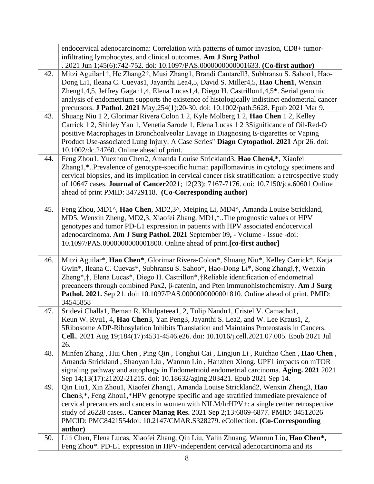|     | endocervical adenocarcinoma: Correlation with patterns of tumor invasion, CD8+ tumor-                |
|-----|------------------------------------------------------------------------------------------------------|
|     | infiltrating lymphocytes, and clinical outcomes. Am J Surg Pathol                                    |
|     | . 2021 Jun 1;45(6):742-752. doi: 10.1097/PAS.0000000000001633. (Co-first author)                     |
| 42. | Mitzi Aguilar1†, He Zhang2†, Musi Zhang1, Brandi Cantarell3, Subhransu S. Sahoo1, Hao-               |
|     | Dong Li1, Ileana C. Cuevas1, Jayanthi Lea4,5, David S. Miller4,5, Hao Chen1, Wenxin                  |
|     | Zheng1,4,5, Jeffrey Gagan1,4, Elena Lucas1,4, Diego H. Castrillon1,4,5*. Serial genomic              |
|     | analysis of endometrium supports the existence of histologically indistinct endometrial cancer       |
|     | precursors. J Pathol. 2021 May;254(1):20-30. doi: 10.1002/path.5628. Epub 2021 Mar 9.                |
| 43. | Shuang Niu 1 2, Glorimar Rivera Colon 1 2, Kyle Molberg 1 2, Hao Chen 1 2, Kelley                    |
|     | Carrick 1 2, Shirley Yan 1, Venetia Sarode 1, Elena Lucas 1 2 3 Significance of Oil-Red-O            |
|     | positive Macrophages in Bronchoalveolar Lavage in Diagnosing E-cigarettes or Vaping                  |
|     | Product Use-associated Lung Injury: A Case Series" Diagn Cytopathol. 2021 Apr 26. doi:               |
|     | 10.1002/dc.24760. Online ahead of print.                                                             |
| 44. | Feng Zhou1, Yuezhou Chen2, Amanda Louise Strickland3, Hao Chen4,*, Xiaofei                           |
|     | Zhang1,*Prevalence of genotype-specific human papillomavirus in cytology specimens and               |
|     | cervical biopsies, and its implication in cervical cancer risk stratification: a retrospective study |
|     | of 10647 cases. Journal of Cancer2021; 12(23): 7167-7176. doi: 10.7150/jca.60601 Online              |
|     | ahead of print PMID: 34729118. (Co-Corresponding author)                                             |
|     |                                                                                                      |
| 45. | Feng Zhou, MD1^, Hao Chen, MD2,3^, Meiping Li, MD4^, Amanda Louise Strickland,                       |
|     | MD5, Wenxin Zheng, MD2,3, Xiaofei Zhang, MD1,*The prognostic values of HPV                           |
|     | genotypes and tumor PD-L1 expression in patients with HPV associated endocervical                    |
|     | adenocarcinoma. Am J Surg Pathol. 2021 September 09, - Volume - Issue -doi:                          |
|     | 10.1097/PAS.0000000000001800. Online ahead of print.[co-first author]                                |
|     |                                                                                                      |
| 46. | Mitzi Aguilar*, Hao Chen*, Glorimar Rivera-Colon*, Shuang Niu*, Kelley Carrick*, Katja               |
|     | Gwin*, Ileana C. Cuevas*, Subhransu S. Sahoo*, Hao-Dong Li*, Song Zhangl,†, Wenxin                   |
|     | Zheng*,†, Elena Lucas*, Diego H. Castrillon*,†Reliable identification of endometrial                 |
|     | precancers through combined Pax2, $\beta$ -catenin, and Pten immunohistochemistry. Am J Surg         |
|     | Pathol. 2021. Sep 21. doi: 10.1097/PAS.0000000000001810. Online ahead of print. PMID:                |
|     | 34545858                                                                                             |
| 47. | Sridevi Challa1, Beman R. Khulpateea1, 2, Tulip Nandu1, Cristel V. Camacho1,                         |
|     | Keun W. Ryu1, 4, Hao Chen3, Yan Peng3, Jayanthi S. Lea2, and W. Lee Kraus1, 2,                       |
|     | 5Ribosome ADP-Ribosylation Inhibits Translation and Maintains Proteostasis in Cancers.               |
|     | Cell. 2021 Aug 19;184(17):4531-4546.e26. doi: 10.1016/j.cell.2021.07.005. Epub 2021 Jul              |
|     | 26.                                                                                                  |
| 48. | Minfen Zhang, Hui Chen, Ping Qin, Tonghui Cai, Lingjun Li, Ruichao Chen, Hao Chen,                   |
|     | Amanda Strickland, Shaoyan Liu, Wanrun Lin, Hanzhen Xiong. UPF1 impacts on mTOR                      |
|     | signaling pathway and autophagy in Endometrioid endometrial carcinoma. Aging. 2021 2021              |
|     | Sep 14;13(17):21202-21215. doi: 10.18632/aging.203421. Epub 2021 Sep 14.                             |
| 49. | Qin Liu1, Xin Zhou1, Xiaofei Zhang1, Amanda Louise Strickland2, Wenxin Zheng3, Hao                   |
|     | Chen3,*, Feng Zhou1,*HPV genotype specific and age stratified immediate prevalence of                |
|     | cervical precancers and cancers in women with NILM/hrHPV+: a single center retrospective             |
|     | study of 26228 cases Cancer Manag Res. 2021 Sep 2;13:6869-6877. PMID: 34512026                       |
|     | PMCID: PMC8421554doi: 10.2147/CMAR.S328279. eCollection. (Co-Corresponding                           |
|     | author)                                                                                              |
| 50. | Lili Chen, Elena Lucas, Xiaofei Zhang, Qin Liu, Yalin Zhuang, Wanrun Lin, Hao Chen*,                 |
|     | Feng Zhou*. PD-L1 expression in HPV-independent cervical adenocarcinoma and its                      |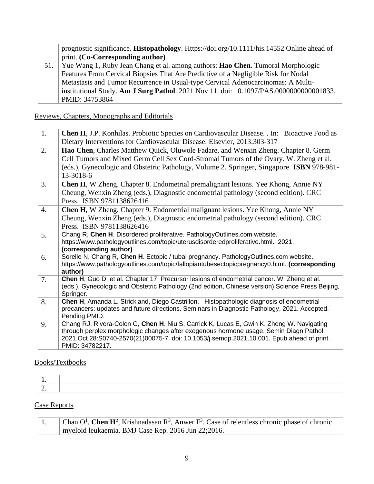|     | prognostic significance. <b>Histopathology</b> . Https://doi.org/10.1111/his.14552 Online ahead of |
|-----|----------------------------------------------------------------------------------------------------|
|     | print. (Co-Corresponding author)                                                                   |
| 51. | Yue Wang 1, Ruby Jean Chang et al. among authors: <b>Hao Chen</b> . Tumoral Morphologic            |
|     | Features From Cervical Biopsies That Are Predictive of a Negligible Risk for Nodal                 |
|     | Metastasis and Tumor Recurrence in Usual-type Cervical Adenocarcinomas: A Multi-                   |
|     | institutional Study. Am J Surg Pathol. 2021 Nov 11. doi: 10.1097/PAS.0000000000001833.             |
|     | PMID: 34753864                                                                                     |

Reviews, Chapters, Monographs and Editorials

| 1. | Chen H, J.P. Konhilas. Probiotic Species on Cardiovascular Disease. . In: Bioactive Food as<br>Dietary Interventions for Cardiovascular Disease. Elsevier, 2013:303-317                                                                                                                            |
|----|----------------------------------------------------------------------------------------------------------------------------------------------------------------------------------------------------------------------------------------------------------------------------------------------------|
| 2. | Hao Chen, Charles Matthew Quick, Oluwole Fadare, and Wenxin Zheng. Chapter 8. Germ<br>Cell Tumors and Mixed Germ Cell Sex Cord-Stromal Tumors of the Ovary. W. Zheng et al.<br>(eds.), Gynecologic and Obstetric Pathology, Volume 2. Springer, Singapore. ISBN 978-981-<br>13-3018-6              |
| 3. | <b>Chen H, W Zheng. Chapter 8. Endometrial premalignant lesions. Yee Khong, Annie NY</b><br>Cheung, Wenxin Zheng (eds.), Diagnostic endometrial pathology (second edition). CRC<br>Press. ISBN 9781138626416                                                                                       |
| 4. | <b>Chen H, W Zheng. Chapter 9. Endometrial malignant lesions. Yee Khong, Annie NY</b><br>Cheung, Wenxin Zheng (eds.), Diagnostic endometrial pathology (second edition). CRC<br>Press. ISBN 9781138626416                                                                                          |
| 5. | Chang R, Chen H. Disordered proliferative. PathologyOutlines.com website.<br>https://www.pathologyoutlines.com/topic/uterusdisorderedproliferative.html. 2021.<br>(corresponding author)                                                                                                           |
| 6. | Sorelle N, Chang R, Chen H. Ectopic / tubal pregnancy. PathologyOutlines.com website.<br>https://www.pathologyoutlines.com/topic/fallopiantubesectopicpregnancy0.html. (corresponding<br>author)                                                                                                   |
| 7. | Chen H, Guo D, et al. Chapter 17. Precursor lesions of endometrial cancer. W. Zheng et al.<br>(eds.), Gynecologic and Obstetric Pathology (2nd edition, Chinese version) Science Press Beijing,<br>Springer.                                                                                       |
| 8. | Chen H, Amanda L. Strickland, Diego Castrillon. Histopathologic diagnosis of endometrial<br>precancers: updates and future directions. Seminars in Diagnostic Pathology, 2021. Accepted.<br>Pending PMID.                                                                                          |
| 9. | Chang RJ, Rivera-Colon G, Chen H, Niu S, Carrick K, Lucas E, Gwin K, Zheng W. Navigating<br>through perplex morphologic changes after exogenous hormone usage. Semin Diagn Pathol.<br>2021 Oct 28:S0740-2570(21)00075-7. doi: 10.1053/j.semdp.2021.10.001. Epub ahead of print.<br>PMID: 34782217. |

# Books/Textbooks

| $\overline{\phantom{a}}$ |  |
|--------------------------|--|

# Case Reports

| $\Box$ Chan O <sup>1</sup> , Chen H <sup>2</sup> , Krishnadasan R <sup>3</sup> , Anwer F <sup>3</sup> . Case of relentless chronic phase of chronic |
|-----------------------------------------------------------------------------------------------------------------------------------------------------|
| myeloid leukaemia. BMJ Case Rep. 2016 Jun 22;2016.                                                                                                  |